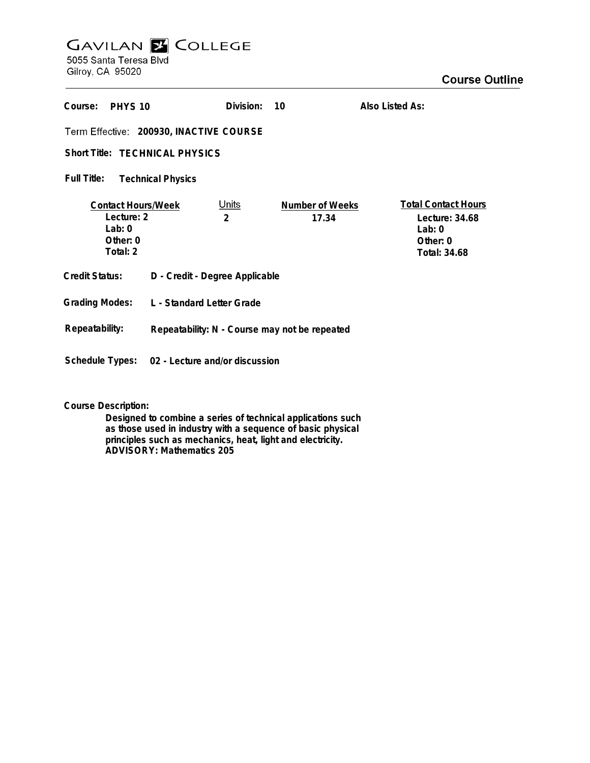## **GAVILAN E COLLEGE**<br>5055 Santa Teresa Blvd

Gilroy, CA 95020

| Course:<br>PHYS 10                                                             |                                                | Division:         | 10                       | Also Listed As:                                                                      |
|--------------------------------------------------------------------------------|------------------------------------------------|-------------------|--------------------------|--------------------------------------------------------------------------------------|
| Term Effective: 200930, INACTIVE COURSE                                        |                                                |                   |                          |                                                                                      |
| Short Title: TECHNICAL PHYSICS                                                 |                                                |                   |                          |                                                                                      |
| Full Title:<br><b>Technical Physics</b>                                        |                                                |                   |                          |                                                                                      |
| <b>Contact Hours/Week</b><br>Lecture: 2<br>$1$ ab: $0$<br>Other: 0<br>Total: 2 |                                                | <u>Units</u><br>2 | Number of Weeks<br>17.34 | <b>Total Contact Hours</b><br>Lecture: 34.68<br>Lab: $0$<br>Other: 0<br>Total: 34.68 |
| <b>Credit Status:</b>                                                          | D - Credit - Degree Applicable                 |                   |                          |                                                                                      |
| <b>Grading Modes:</b>                                                          | L - Standard Letter Grade                      |                   |                          |                                                                                      |
| Repeatability:                                                                 | Repeatability: N - Course may not be repeated  |                   |                          |                                                                                      |
|                                                                                | Schedule Types: 02 - Lecture and/or discussion |                   |                          |                                                                                      |

**Course Description:**

**Designed to combine a series of technical applications such as those used in industry with a sequence of basic physical principles such as mechanics, heat, light and electricity. ADVISORY: Mathematics 205**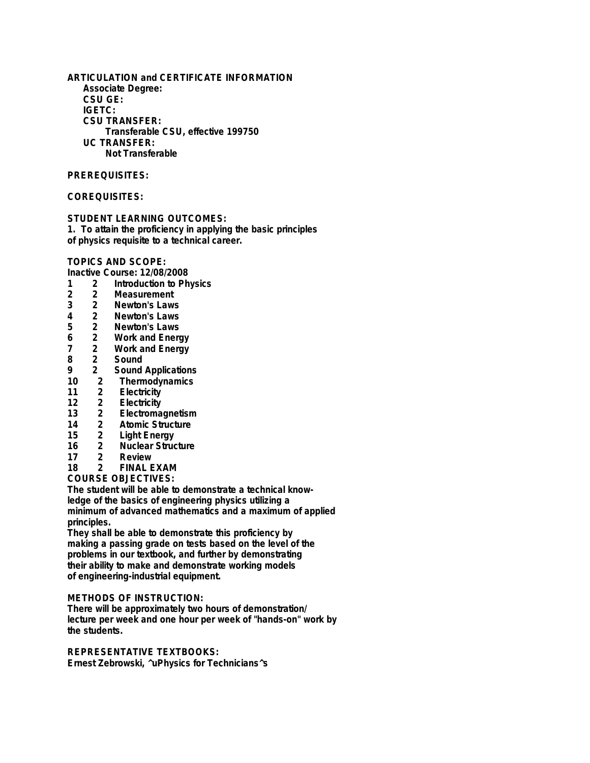**ARTICULATION and CERTIFICATE INFORMATION Associate Degree: CSU GE: IGETC: CSU TRANSFER: Transferable CSU, effective 199750 UC TRANSFER: Not Transferable**

## **PREREQUISITES:**

## **COREQUISITES:**

**STUDENT LEARNING OUTCOMES:**

**1. To attain the proficiency in applying the basic principles of physics requisite to a technical career.**

**TOPICS AND SCOPE:**

**Inactive Course: 12/08/2008**

- **1 2 Introduction to Physics**
- **2 2 Measurement**
- **3 2 Newton's Laws**
- **4 2 Newton's Laws**
- 2 Newton's Laws<br>2 Work and Enerd
- **6 2 Work and Energy**
- **7 2 Work and Energy**
- **8 2 Sound**
- **9 2 Sound Applications**
- **10 2 Thermodynamics**
- **11 2 Electricity**
- **12 2 Electricity**
- **13 2 Electromagnetism**
- **14 2 Atomic Structure**
- **15 2 Light Energy**
- **16 2 Nuclear Structure**
- 2 Review<br>2 FINAL B
- **18 2 FINAL EXAM**

**COURSE OBJECTIVES:**

**The student will be able to demonstrate a technical knowledge of the basics of engineering physics utilizing a minimum of advanced mathematics and a maximum of applied principles.**

**They shall be able to demonstrate this proficiency by making a passing grade on tests based on the level of the problems in our textbook, and further by demonstrating their ability to make and demonstrate working models of engineering-industrial equipment.**

## **METHODS OF INSTRUCTION:**

**There will be approximately two hours of demonstration/ lecture per week and one hour per week of "hands-on" work by the students.**

**REPRESENTATIVE TEXTBOOKS: Ernest Zebrowski, ^uPhysics for Technicians^s**